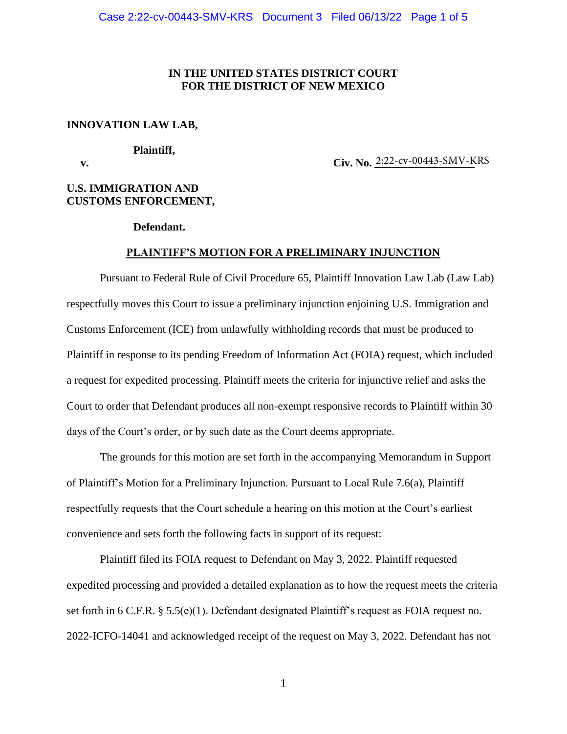## **IN THE UNITED STATES DISTRICT COURT FOR THE DISTRICT OF NEW MEXICO**

#### **INNOVATION LAW LAB,**

#### **Plaintiff,**

**v. Civ. No.**  $2:22$ -cv-00443-SMV-KRS

# **U.S. IMMIGRATION AND CUSTOMS ENFORCEMENT,**

### **Defendant.**

### **PLAINTIFF'S MOTION FOR A PRELIMINARY INJUNCTION**

Pursuant to Federal Rule of Civil Procedure 65, Plaintiff Innovation Law Lab (Law Lab) respectfully moves this Court to issue a preliminary injunction enjoining U.S. Immigration and Customs Enforcement (ICE) from unlawfully withholding records that must be produced to Plaintiff in response to its pending Freedom of Information Act (FOIA) request, which included a request for expedited processing. Plaintiff meets the criteria for injunctive relief and asks the Court to order that Defendant produces all non-exempt responsive records to Plaintiff within 30 days of the Court's order, or by such date as the Court deems appropriate.

The grounds for this motion are set forth in the accompanying Memorandum in Support of Plaintiff's Motion for a Preliminary Injunction. Pursuant to Local Rule 7.6(a), Plaintiff respectfully requests that the Court schedule a hearing on this motion at the Court's earliest convenience and sets forth the following facts in support of its request:

Plaintiff filed its FOIA request to Defendant on May 3, 2022. Plaintiff requested expedited processing and provided a detailed explanation as to how the request meets the criteria set forth in 6 C.F.R. § 5.5(e)(1). Defendant designated Plaintiff's request as FOIA request no. 2022-ICFO-14041 and acknowledged receipt of the request on May 3, 2022. Defendant has not

1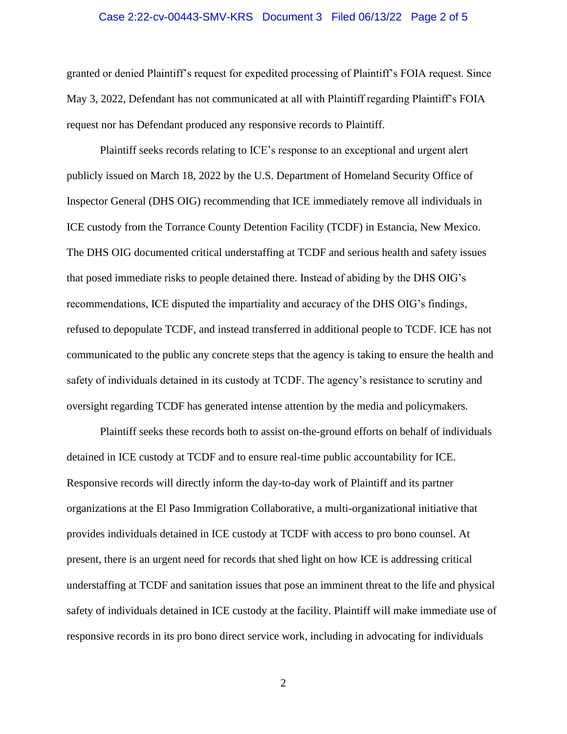#### Case 2:22-cv-00443-SMV-KRS Document 3 Filed 06/13/22 Page 2 of 5

granted or denied Plaintiff's request for expedited processing of Plaintiff's FOIA request. Since May 3, 2022, Defendant has not communicated at all with Plaintiff regarding Plaintiff's FOIA request nor has Defendant produced any responsive records to Plaintiff.

Plaintiff seeks records relating to ICE's response to an exceptional and urgent alert publicly issued on March 18, 2022 by the U.S. Department of Homeland Security Office of Inspector General (DHS OIG) recommending that ICE immediately remove all individuals in ICE custody from the Torrance County Detention Facility (TCDF) in Estancia, New Mexico. The DHS OIG documented critical understaffing at TCDF and serious health and safety issues that posed immediate risks to people detained there. Instead of abiding by the DHS OIG's recommendations, ICE disputed the impartiality and accuracy of the DHS OIG's findings, refused to depopulate TCDF, and instead transferred in additional people to TCDF. ICE has not communicated to the public any concrete steps that the agency is taking to ensure the health and safety of individuals detained in its custody at TCDF. The agency's resistance to scrutiny and oversight regarding TCDF has generated intense attention by the media and policymakers.

Plaintiff seeks these records both to assist on-the-ground efforts on behalf of individuals detained in ICE custody at TCDF and to ensure real-time public accountability for ICE. Responsive records will directly inform the day-to-day work of Plaintiff and its partner organizations at the El Paso Immigration Collaborative, a multi-organizational initiative that provides individuals detained in ICE custody at TCDF with access to pro bono counsel. At present, there is an urgent need for records that shed light on how ICE is addressing critical understaffing at TCDF and sanitation issues that pose an imminent threat to the life and physical safety of individuals detained in ICE custody at the facility. Plaintiff will make immediate use of responsive records in its pro bono direct service work, including in advocating for individuals

2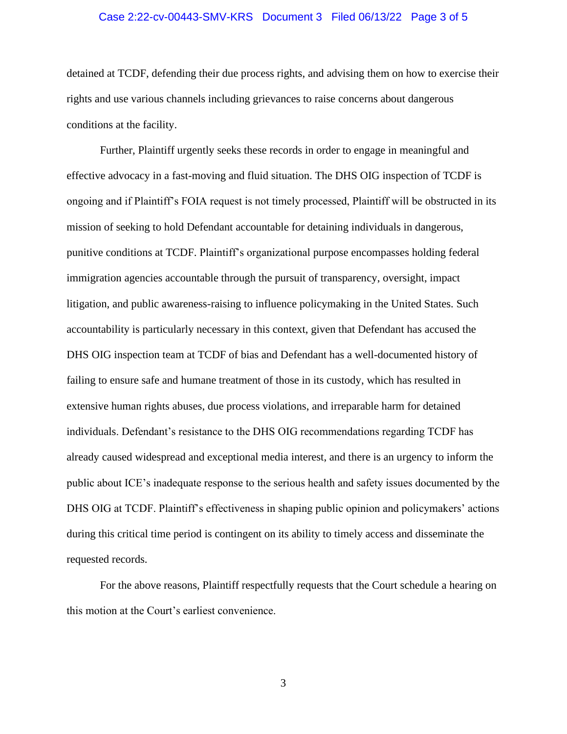#### Case 2:22-cv-00443-SMV-KRS Document 3 Filed 06/13/22 Page 3 of 5

detained at TCDF, defending their due process rights, and advising them on how to exercise their rights and use various channels including grievances to raise concerns about dangerous conditions at the facility.

Further, Plaintiff urgently seeks these records in order to engage in meaningful and effective advocacy in a fast-moving and fluid situation. The DHS OIG inspection of TCDF is ongoing and if Plaintiff's FOIA request is not timely processed, Plaintiff will be obstructed in its mission of seeking to hold Defendant accountable for detaining individuals in dangerous, punitive conditions at TCDF. Plaintiff's organizational purpose encompasses holding federal immigration agencies accountable through the pursuit of transparency, oversight, impact litigation, and public awareness-raising to influence policymaking in the United States. Such accountability is particularly necessary in this context, given that Defendant has accused the DHS OIG inspection team at TCDF of bias and Defendant has a well-documented history of failing to ensure safe and humane treatment of those in its custody, which has resulted in extensive human rights abuses, due process violations, and irreparable harm for detained individuals. Defendant's resistance to the DHS OIG recommendations regarding TCDF has already caused widespread and exceptional media interest, and there is an urgency to inform the public about ICE's inadequate response to the serious health and safety issues documented by the DHS OIG at TCDF. Plaintiff's effectiveness in shaping public opinion and policymakers' actions during this critical time period is contingent on its ability to timely access and disseminate the requested records.

For the above reasons, Plaintiff respectfully requests that the Court schedule a hearing on this motion at the Court's earliest convenience.

3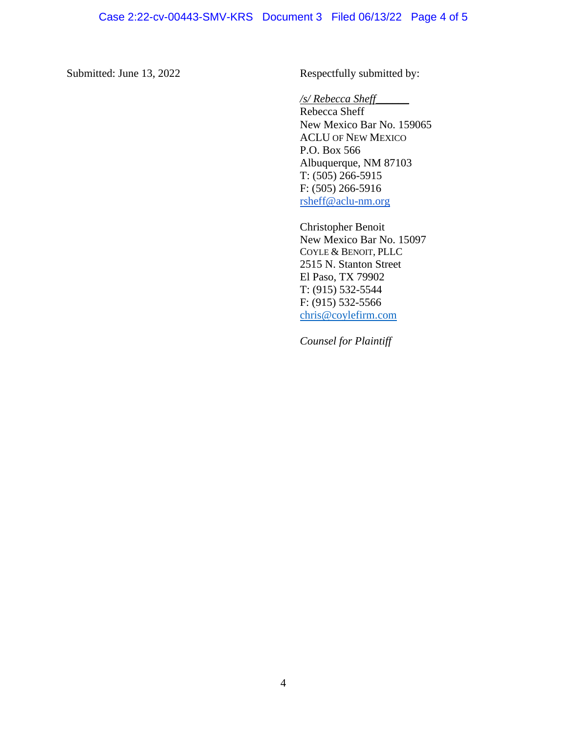Submitted: June 13, 2022 Respectfully submitted by:

## */s/ Rebecca Sheff\_\_\_\_\_\_*

Rebecca Sheff New Mexico Bar No. 159065 ACLU OF NEW MEXICO P.O. Box 566 Albuquerque, NM 87103 T:  $(505)$  266-5915 F: (505) 266-5916 [rsheff@aclu-nm.org](mailto:rsheff@aclu-nm.org)

Christopher Benoit New Mexico Bar No. 15097 COYLE & BENOIT, PLLC 2515 N. Stanton Street El Paso, TX 79902 T: (915) 532-5544 F: (915) 532-5566 [chris@coylefirm.com](mailto:chris@coylefirm.com)

*Counsel for Plaintiff*